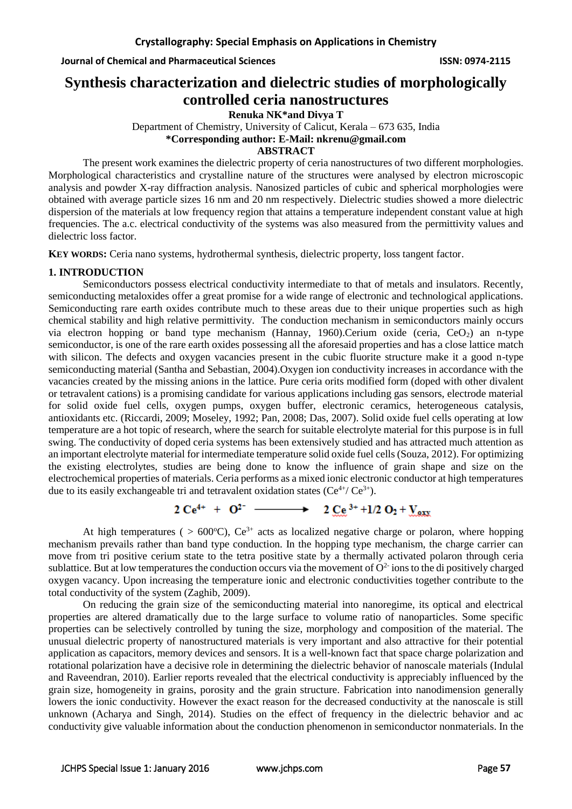**Journal of Chemical and Pharmaceutical Sciences ISSN: 0974-2115**

# **Synthesis characterization and dielectric studies of morphologically controlled ceria nanostructures**

**Renuka NK\*and Divya T**

Department of Chemistry, University of Calicut, Kerala – 673 635, India **\*Corresponding author: E-Mail: nkrenu@gmail.com**

### **ABSTRACT**

The present work examines the dielectric property of ceria nanostructures of two different morphologies. Morphological characteristics and crystalline nature of the structures were analysed by electron microscopic analysis and powder X-ray diffraction analysis. Nanosized particles of cubic and spherical morphologies were obtained with average particle sizes 16 nm and 20 nm respectively. Dielectric studies showed a more dielectric dispersion of the materials at low frequency region that attains a temperature independent constant value at high frequencies. The a.c. electrical conductivity of the systems was also measured from the permittivity values and dielectric loss factor.

**KEY WORDS:** Ceria nano systems, hydrothermal synthesis, dielectric property, loss tangent factor.

# **1. INTRODUCTION**

Semiconductors possess electrical conductivity intermediate to that of metals and insulators. Recently, semiconducting metaloxides offer a great promise for a wide range of electronic and technological applications. Semiconducting rare earth oxides contribute much to these areas due to their unique properties such as high chemical stability and high relative permittivity. The conduction mechanism in semiconductors mainly occurs via electron hopping or band type mechanism (Hannay, 1960).Cerium oxide (ceria,  $CeO<sub>2</sub>$ ) an n-type semiconductor, is one of the rare earth oxides possessing all the aforesaid properties and has a close lattice match with silicon. The defects and oxygen vacancies present in the cubic fluorite structure make it a good n-type semiconducting material (Santha and Sebastian, 2004).Oxygen ion conductivity increases in accordance with the vacancies created by the missing anions in the lattice. Pure ceria orits modified form (doped with other divalent or tetravalent cations) is a promising candidate for various applications including gas sensors, electrode material for solid oxide fuel cells, oxygen pumps, oxygen buffer, electronic ceramics, heterogeneous catalysis, antioxidants etc. (Riccardi, 2009; Moseley, 1992; Pan, 2008; Das, 2007). Solid oxide fuel cells operating at low temperature are a hot topic of research, where the search for suitable electrolyte material for this purpose is in full swing. The conductivity of doped ceria systems has been extensively studied and has attracted much attention as an important electrolyte material for intermediate temperature solid oxide fuel cells (Souza, 2012). For optimizing the existing electrolytes, studies are being done to know the influence of grain shape and size on the electrochemical properties of materials. Ceria performs as a mixed ionic electronic conductor at high temperatures due to its easily exchangeable tri and tetravalent oxidation states  $(Ce^{4+} / Ce^{3+})$ .

 $2 \text{ Ce}^{4+} + \text{ O}^{2-} \longrightarrow 2 \text{ Ce}^{3+} + 1/2 \text{ O}_2 + \text{V}_{\text{exx}}$ 

At high temperatures (  $> 600^{\circ}$ C), Ce<sup>3+</sup> acts as localized negative charge or polaron, where hopping mechanism prevails rather than band type conduction. In the hopping type mechanism, the charge carrier can move from tri positive cerium state to the tetra positive state by a thermally activated polaron through ceria sublattice. But at low temperatures the conduction occurs via the movement of  $O<sup>2</sup>$  ions to the di positively charged oxygen vacancy. Upon increasing the temperature ionic and electronic conductivities together contribute to the total conductivity of the system (Zaghib, 2009).

On reducing the grain size of the semiconducting material into nanoregime, its optical and electrical properties are altered dramatically due to the large surface to volume ratio of nanoparticles. Some specific properties can be selectively controlled by tuning the size, morphology and composition of the material. The unusual dielectric property of nanostructured materials is very important and also attractive for their potential application as capacitors, memory devices and sensors. It is a well-known fact that space charge polarization and rotational polarization have a decisive role in determining the dielectric behavior of nanoscale materials (Indulal and Raveendran, 2010). Earlier reports revealed that the electrical conductivity is appreciably influenced by the grain size, homogeneity in grains, porosity and the grain structure. Fabrication into nanodimension generally lowers the ionic conductivity. However the exact reason for the decreased conductivity at the nanoscale is still unknown (Acharya and Singh, 2014). Studies on the effect of frequency in the dielectric behavior and ac conductivity give valuable information about the conduction phenomenon in semiconductor nonmaterials. In the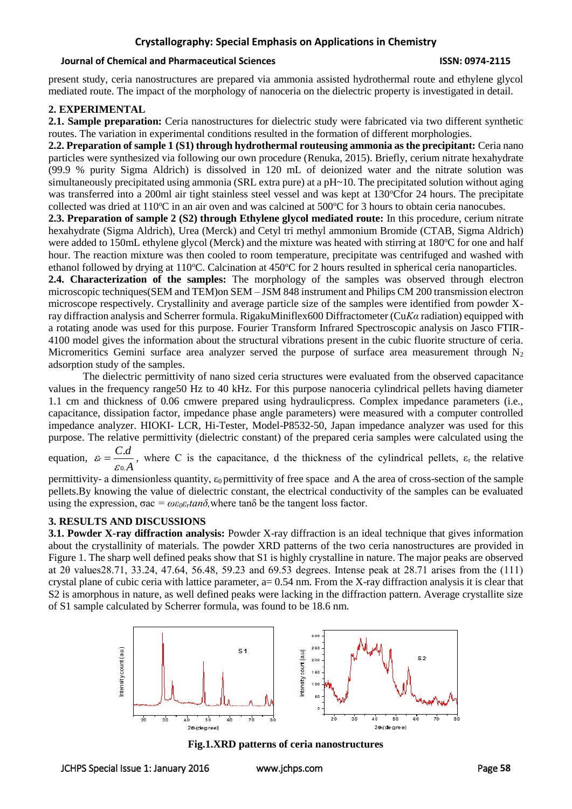# **Crystallography: Special Emphasis on Applications in Chemistry**

#### **Journal of Chemical and Pharmaceutical Sciences ISSN: 0974-2115**

present study, ceria nanostructures are prepared via ammonia assisted hydrothermal route and ethylene glycol mediated route. The impact of the morphology of nanoceria on the dielectric property is investigated in detail.

#### **2. EXPERIMENTAL**

**2.1. Sample preparation:** Ceria nanostructures for dielectric study were fabricated via two different synthetic routes. The variation in experimental conditions resulted in the formation of different morphologies.

**2.2. Preparation of sample 1 (S1) through hydrothermal routeusing ammonia as the precipitant:** Ceria nano particles were synthesized via following our own procedure (Renuka, 2015). Briefly, cerium nitrate hexahydrate (99.9 % purity Sigma Aldrich) is dissolved in 120 mL of deionized water and the nitrate solution was simultaneously precipitated using ammonia (SRL extra pure) at a pH~10. The precipitated solution without aging was transferred into a 200ml air tight stainless steel vessel and was kept at 130°Cfor 24 hours. The precipitate collected was dried at  $110^{\circ}$ C in an air oven and was calcined at  $500^{\circ}$ C for 3 hours to obtain ceria nanocubes.

**2.3. Preparation of sample 2 (S2) through Ethylene glycol mediated route:** In this procedure, cerium nitrate hexahydrate (Sigma Aldrich), Urea (Merck) and Cetyl tri methyl ammonium Bromide (CTAB, Sigma Aldrich) were added to 150mL ethylene glycol (Merck) and the mixture was heated with stirring at 180 °C for one and half hour. The reaction mixture was then cooled to room temperature, precipitate was centrifuged and washed with ethanol followed by drying at 110 °C. Calcination at  $450$  °C for 2 hours resulted in spherical ceria nanoparticles.

**2.4. Characterization of the samples:** The morphology of the samples was observed through electron microscopic techniques(SEM and TEM)on SEM – JSM 848 instrument and Philips CM 200 transmission electron microscope respectively. Crystallinity and average particle size of the samples were identified from powder Xray diffraction analysis and Scherrer formula. RigakuMiniflex600 Diffractometer (Cu*Kα* radiation) equipped with a rotating anode was used for this purpose. Fourier Transform Infrared Spectroscopic analysis on Jasco FTIR-4100 model gives the information about the structural vibrations present in the cubic fluorite structure of ceria. Micromeritics Gemini surface area analyzer served the purpose of surface area measurement through  $N_2$ adsorption study of the samples.

The dielectric permittivity of nano sized ceria structures were evaluated from the observed capacitance values in the frequency range50 Hz to 40 kHz. For this purpose nanoceria cylindrical pellets having diameter 1.1 cm and thickness of 0.06 cmwere prepared using hydraulicpress. Complex impedance parameters (i.e., capacitance, dissipation factor, impedance phase angle parameters) were measured with a computer controlled impedance analyzer. HIOKI- LCR, Hi-Tester, Model-P8532-50, Japan impedance analyzer was used for this purpose. The relative permittivity (dielectric constant) of the prepared ceria samples were calculated using the .

equation, *A*  $\dot{r} = \frac{C.d}{T}$ 0.  $\varepsilon = \frac{C \cdot a}{\varepsilon_0 A}$ , where C is the capacitance, d the thickness of the cylindrical pellets,  $\varepsilon_r$  the relative

permittivity- a dimensionless quantity,  $\varepsilon_0$  permittivity of free space and A the area of cross-section of the sample pellets.By knowing the value of dielectric constant, the electrical conductivity of the samples can be evaluated using the expression,  $\sigma$ ac =  $\omega \varepsilon_0 \varepsilon_r \tan \delta$ , where  $\tan \delta$  be the tangent loss factor.

# **3. RESULTS AND DISCUSSIONS**

**3.1. Powder X-ray diffraction analysis:** Powder X-ray diffraction is an ideal technique that gives information about the crystallinity of materials. The powder XRD patterns of the two ceria nanostructures are provided in Figure 1. The sharp well defined peaks show that S1 is highly crystalline in nature. The major peaks are observed at 2θ values28.71, 33.24, 47.64, 56.48, 59.23 and 69.53 degrees. Intense peak at 28.71 arises from the (111) crystal plane of cubic ceria with lattice parameter,  $a= 0.54$  nm. From the X-ray diffraction analysis it is clear that S2 is amorphous in nature, as well defined peaks were lacking in the diffraction pattern. Average crystallite size of S1 sample calculated by Scherrer formula, was found to be 18.6 nm.



**Fig.1.XRD patterns of ceria nanostructures**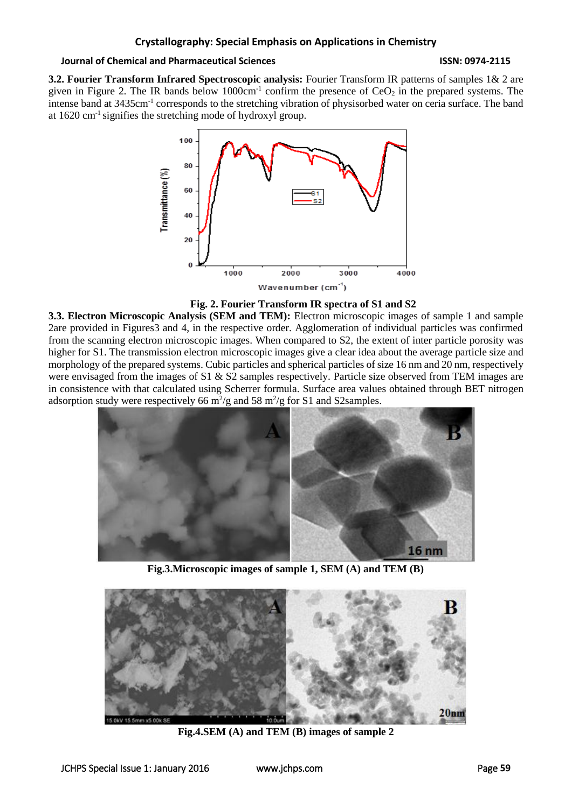## **Journal of Chemical and Pharmaceutical Sciences ISSN: 0974-2115**

**3.2. Fourier Transform Infrared Spectroscopic analysis:** Fourier Transform IR patterns of samples 1& 2 are given in Figure 2. The IR bands below  $1000 \text{cm}^{-1}$  confirm the presence of  $CeO<sub>2</sub>$  in the prepared systems. The intense band at 3435cm<sup>-1</sup> corresponds to the stretching vibration of physisorbed water on ceria surface. The band at 1620 cm-1 signifies the stretching mode of hydroxyl group.



**Fig. 2. Fourier Transform IR spectra of S1 and S2**

**3.3. Electron Microscopic Analysis (SEM and TEM):** Electron microscopic images of sample 1 and sample 2are provided in Figures3 and 4, in the respective order. Agglomeration of individual particles was confirmed from the scanning electron microscopic images. When compared to S2, the extent of inter particle porosity was higher for S1. The transmission electron microscopic images give a clear idea about the average particle size and morphology of the prepared systems. Cubic particles and spherical particles of size 16 nm and 20 nm, respectively were envisaged from the images of S1 & S2 samples respectively. Particle size observed from TEM images are in consistence with that calculated using Scherrer formula. Surface area values obtained through BET nitrogen adsorption study were respectively 66  $\frac{m^2}{g}$  and 58  $\frac{m^2}{g}$  for S1 and S2 samples.



**Fig.3.Microscopic images of sample 1, SEM (A) and TEM (B)**



**Fig.4.SEM (A) and TEM (B) images of sample 2**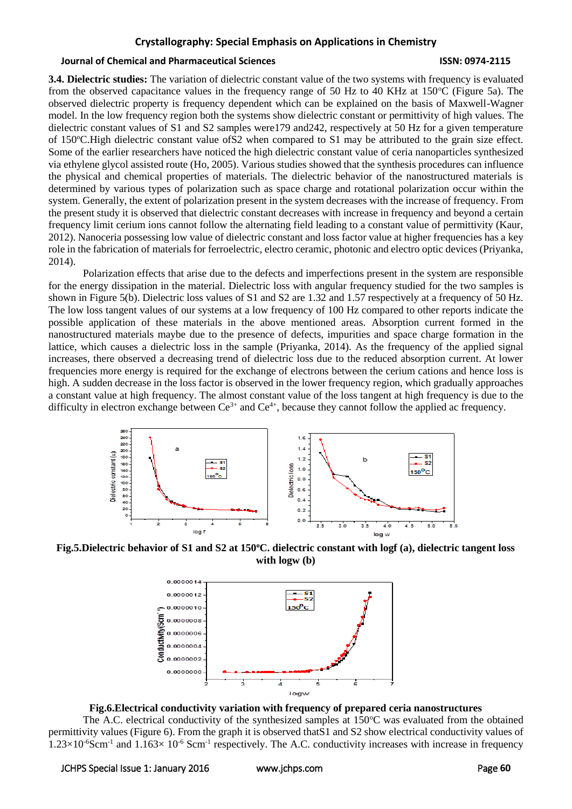### **Crystallography: Special Emphasis on Applications in Chemistry**

#### **Journal of Chemical and Pharmaceutical Sciences ISSN: 0974-2115**

**3.4. Dielectric studies:** The variation of dielectric constant value of the two systems with frequency is evaluated from the observed capacitance values in the frequency range of 50 Hz to 40 KHz at 150 $^{\circ}$ C (Figure 5a). The observed dielectric property is frequency dependent which can be explained on the basis of Maxwell-Wagner model. In the low frequency region both the systems show dielectric constant or permittivity of high values. The dielectric constant values of S1 and S2 samples were179 and242, respectively at 50 Hz for a given temperature of 150<sup>o</sup>C.High dielectric constant value ofS2 when compared to S1 may be attributed to the grain size effect. Some of the earlier researchers have noticed the high dielectric constant value of ceria nanoparticles synthesized via ethylene glycol assisted route (Ho, 2005). Various studies showed that the synthesis procedures can influence the physical and chemical properties of materials. The dielectric behavior of the nanostructured materials is determined by various types of polarization such as space charge and rotational polarization occur within the system. Generally, the extent of polarization present in the system decreases with the increase of frequency. From the present study it is observed that dielectric constant decreases with increase in frequency and beyond a certain frequency limit cerium ions cannot follow the alternating field leading to a constant value of permittivity (Kaur, 2012). Nanoceria possessing low value of dielectric constant and loss factor value at higher frequencies has a key role in the fabrication of materials for ferroelectric, electro ceramic, photonic and electro optic devices (Priyanka, 2014).

Polarization effects that arise due to the defects and imperfections present in the system are responsible for the energy dissipation in the material. Dielectric loss with angular frequency studied for the two samples is shown in Figure 5(b). Dielectric loss values of S1 and S2 are 1.32 and 1.57 respectively at a frequency of 50 Hz. The low loss tangent values of our systems at a low frequency of 100 Hz compared to other reports indicate the possible application of these materials in the above mentioned areas. Absorption current formed in the nanostructured materials maybe due to the presence of defects, impurities and space charge formation in the lattice, which causes a dielectric loss in the sample (Priyanka, 2014). As the frequency of the applied signal increases, there observed a decreasing trend of dielectric loss due to the reduced absorption current. At lower frequencies more energy is required for the exchange of electrons between the cerium cations and hence loss is high. A sudden decrease in the loss factor is observed in the lower frequency region, which gradually approaches a constant value at high frequency. The almost constant value of the loss tangent at high frequency is due to the difficulty in electron exchange between  $Ce^{3+}$  and  $Ce^{4+}$ , because they cannot follow the applied ac frequency.



**Fig.5.Dielectric behavior of S1 and S2 at 150<sup>o</sup>C. dielectric constant with logf (a), dielectric tangent loss with logw (b)**



**Fig.6.Electrical conductivity variation with frequency of prepared ceria nanostructures**

The A.C. electrical conductivity of the synthesized samples at  $150^{\circ}$ C was evaluated from the obtained permittivity values (Figure 6). From the graph it is observed thatS1 and S2 show electrical conductivity values of  $1.23\times10^{-6}$ Scm<sup>-1</sup> and  $1.163\times10^{-6}$  Scm<sup>-1</sup> respectively. The A.C. conductivity increases with increase in frequency